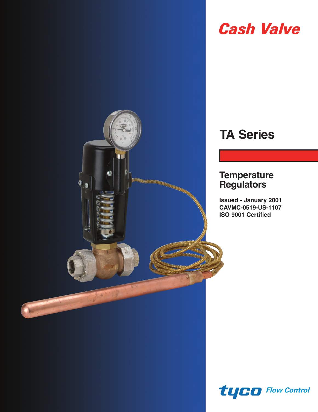

# *Cash Valve*

# **TA Series**

# **Temperature Regulators**

**Issued - January 2001 CAVMC-0519-US-1107 ISO 9001 Certified**

*Flow Control*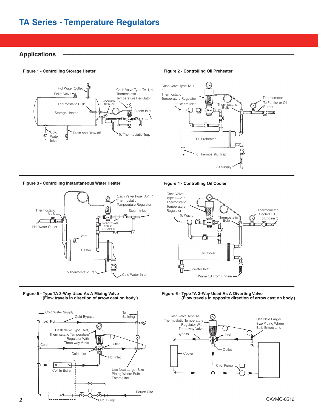# **TA Series - Temperature Regulators**

# **Applications \_\_\_\_\_\_\_\_\_\_\_\_\_\_\_\_\_\_\_\_\_\_\_\_\_\_\_\_\_\_\_\_\_\_\_\_\_\_\_\_\_\_\_\_\_\_\_\_\_\_\_\_\_\_\_\_\_\_\_\_\_\_\_\_\_\_\_\_**

#### **Figure 1 - Controlling Storage Heater Figure 2 - Controlling Oil Preheater**





#### **Figure 3 - Controlling Instantaneous Water Heater Figure 4 - Controlling Oil Cooler**





#### **Figure 5 - Type TA 3-Way Used As A Mixing Valve (Flow travels in direction of arrow cast on body.)**



**Figure 6 - Type TA 3-Way Used As A Diverting Valve (Flow travels in opposite direction of arrow cast on body.)**

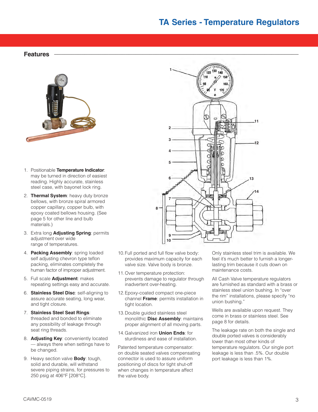# **TA Series - Temperature Regulators**

130 140

170

120

# **Features \_\_\_\_\_\_\_\_\_\_\_\_\_\_\_\_\_\_\_\_\_\_\_\_\_\_\_\_\_\_\_\_\_\_\_\_\_\_\_\_\_\_\_\_\_\_\_\_\_\_\_\_\_\_\_\_\_\_\_\_\_\_\_\_\_\_\_\_\_\_\_\_**



- 1. Positionable **Temperature Indicator**: may be turned in direction of easiest reading. Highly accurate, stainless steel case, with bayonet lock ring.
- 2. **Thermal System**: heavy duty bronze bellows, with bronze spiral armored copper capillary, copper bulb, with epoxy coated bellows housing. (See page 5 for other line and bulb materials.)
- 3. Extra long **Adjusting Spring**: permits adjustment over wide range of temperatures.
- 4. **Packing Assembly**: spring loaded self adjusting chevron type teflon packing, eliminates completely the human factor of improper adjustment.
- 5. Full scale **Adjustment**: makes repeating settings easy and accurate.
- 6. **Stainless Steel Disc**: self-aligning to assure accurate seating, long wear, and tight closure.
- 7. **Stainless Steel Seat Rings**: threaded and bonded to eliminate any possibility of leakage through seat ring threads.
- 8. **Adjusting Key**: conveniently located — always there when settings have to be changed.
- 9. Heavy section valve **Body**: tough, solid and durable, will withstand severe piping strains, for pressures to 250 psig at 406°F [208°C].



**1**

**2**

**3**

**4**

**5**

**6**

**7**

**8**

**9 10**

- 11.Over temperature protection: prevents damage to regulator through inadvertent over-heating.
- 12.Epoxy-coated compact one-piece channel **Frame**: permits installation in tight location.
- 13.Double guided stainless steel monolithic **Disc Assembly**: maintains proper alignment of all moving parts.
- 14.Galvanized iron **Union Ends**: for sturdiness and ease of installation.

Patented temperature compensator: on double seated valves compensating connector is used to assure uniform positioning of discs for tight shut-off when changes in temperature affect the valve body.

Only stainless steel trim is available. We feel it's much better to furnish a longerlasting trim because it cuts down on maintenance costs.

**11**

**12**

**14**

**13**

All Cash Valve temperature regulators are furnished as standard with a brass or stainless steel union bushing. In "over the rim" installations, please specify "no union bushing."

Wells are available upon request. They come in brass or stainless steel. See page 8 for details.

The leakage rate on both the single and double ported valves is considerably lower than most other kinds of temperature regulators. Our single port leakage is less than .5%. Our double port leakage is less than 1%.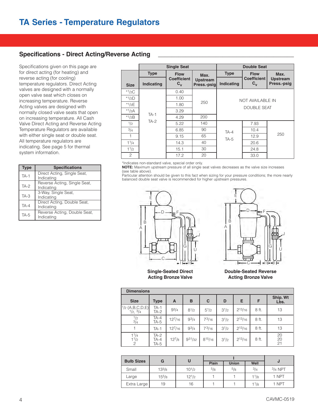### Specifications - Direct Acting/Reverse Acting

Specifications given on this page are for direct acting (for heating) and reverse acting (for cooling) temperature regulators. Direct Acting valves are designed with a normally open valve seat which closes on increasing temperature. Reverse Acting valves are designed with normally closed valve seats that open on increasing temperature. All Cash Valve Direct Acting and Reverse Acting Temperature Regulators are available with either single seat or double seat. All temperature regulators are indicating. See page 5 for thermal system information.

| <b>Type</b> | <b>Specifications</b>                      |
|-------------|--------------------------------------------|
| $TA-1$      | Direct Acting, Single Seat,<br>Indicating  |
| $TA-2$      | Reverse Acting, Single Seat,<br>Indicating |
| $TA-3$      | 3-Way, Single Seat,<br>Indicating          |
| $TA-4$      | Direct Acting, Double Seat,<br>Indicating  |
| TA-5        | Reverse Acting, Double Seat,<br>Indicating |

|             |             | <b>Single Seat</b>                              |                                |             | <b>Double Seat</b>            |                                |
|-------------|-------------|-------------------------------------------------|--------------------------------|-------------|-------------------------------|--------------------------------|
|             | <b>Type</b> | <b>Flow</b>                                     | Max.                           | <b>Type</b> | <b>Flow</b>                   | Max.                           |
| <b>Size</b> | Indicating  | <b>Coefficient</b><br>$\mathbf{c}_{\mathbf{v}}$ | <b>Upstream</b><br>Press.-psig | Indicating  | <b>Coefficient</b><br>$C_{v}$ | <b>Upstream</b><br>Press.-psig |
| $*1/2C$     |             | 0.40                                            |                                |             |                               |                                |
| $*1/2D$     |             | 1.00                                            |                                |             | NOT AVAILABLE IN              |                                |
| * $1/2E$    |             | 1.80                                            | 250                            |             | <b>DOUBLE SEAT</b>            |                                |
| $*1/2A$     | $TA-1$      | 3.29                                            |                                |             |                               |                                |
| $*1/2B$     |             | 4.29                                            | 200                            |             |                               |                                |
| 1/2         | $TA-2$      | 5.22                                            | 140                            |             | 7.93                          |                                |
| 3/4         |             | 6.85                                            | 90                             | $TA-4$      | 10.4                          |                                |
| 1           |             | 9.15                                            | 65                             | $TA-5$      | 12.9                          | 250                            |
| 11/4        |             | 14.3                                            | 40                             |             | 20.6                          |                                |
| 11/2        |             | 15.1                                            | 30                             |             | 24.8                          |                                |
| 2           |             | 17.2                                            | 20                             |             | 33.0                          |                                |

\*Indicates non-standard valve, special order only.

**NOTE:** Maximum upstream pressure of all single seat valves decreases as the valve size increases (see table above).

Particular attention should be given to this fact when sizing for your pressure conditions; the more nearly balanced double seat valve is recommended for higher upstream pressures.



**Single-Seated Direct Acting Bronze Valve**



**Double-Seated Reverse Acting Bronze Valve**

| <b>Dimensions</b>                                              |                      |             |           |             |           |             |       |                  |
|----------------------------------------------------------------|----------------------|-------------|-----------|-------------|-----------|-------------|-------|------------------|
| <b>Size</b>                                                    | <b>Type</b>          | A           | B         | C           | D         | Е           | F     | Ship. Wt<br>Lbs. |
| $\begin{bmatrix} 1/2 & (A,B,C,D,E) \\ 1/2 & 3/4 \end{bmatrix}$ | $TA-1$<br>$TA-2$     | $9^{3}/4$   | $8^{1/2}$ | $5^{1/2}$   | $3^{1/2}$ | $2^{13}/16$ | 8 ft. | 13               |
| $\frac{1}{2}$<br>$\frac{3}{4}$                                 | $TA-4$<br>TA-5       | $12^{7}/16$ | $9^{3/4}$ | $7^{3/16}$  | $3^{1/2}$ | $2^{13/16}$ | 8 ft. | 13               |
|                                                                | $TA-1$               | $12^{7}/16$ | $9^{3/4}$ | 73/16       | $3^{1/2}$ | $2^{13/16}$ | 8 ft. | 13               |
| 1 <sup>1</sup> /4<br>$\frac{11}{2}$                            | TA-2<br>TA-4<br>TA-5 | $12^{7}/8$  | 931/32    | $8^{15/16}$ | $3^{1/2}$ | $2^{13/16}$ | 8 ft. | 20<br>20<br>21   |

| <b>Bulb Sizes</b> | G          |            | Plain | <b>Union</b> | Well | u         |
|-------------------|------------|------------|-------|--------------|------|-----------|
| Small             | $13^{3}/8$ | $10^{1/2}$ | 5/8   | $^{5/8}$     | 3/4  | $3/4$ NPT |
| Large             | $15^{5}/8$ | $12^{1/2}$ |       |              | 11/8 | 1 NPT     |
| Extra Large       | 19         | 16         |       |              | 11/8 | 1 NPT     |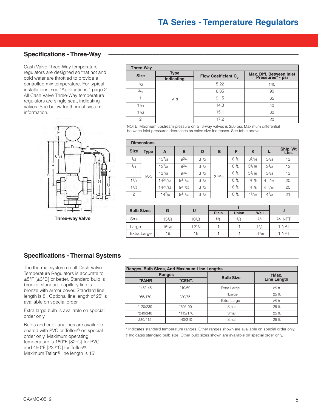### **Specifications - Three-Way**

Cash Valve Three-Way temperature regulators are designed so that hot and cold water are throttled to provide a controlled mix temperature. For typical installations, see "Applications," page 2. All Cash Valve Three-Way temperature regulators are single seat, indicating valves. See below for thermal system information.



**Three-way Valve**

#### **Three-Way Size Type Type Indicating I**SPERITYPE **INDICATE: Flow Coefficient C<sub>v</sub> Max. Diff. Between inlet**<br> **Pressures\* - psi**  $1/2$  $3/4$ TA-3 5.22 6.85  $9.15$  $14.3$ 15.1 17.2 140 90 65 40 30 20 1 11/4 11/2 2

NOTE: Maximum upstream pressure on all 3-way valves is 250 psi. Maximum differential between inlet pressures decreases as valve size increases. See table above.

|                   | <b>Dimensions</b> |              |             |           |             |       |            |             |                  |
|-------------------|-------------------|--------------|-------------|-----------|-------------|-------|------------|-------------|------------------|
| <b>Size</b>       | <b>Type</b>       | A            | B           | D         | Е           | F     | K          |             | Ship. Wt<br>Lbs. |
| 1/2               |                   | $13^{7}/8$   | $9^{3}/4$   | $3^{1/2}$ |             | 8 ft. | 35/16      | 35/8        | 13               |
| 3/4               |                   | $13^{7}/8$   | $9^{3}/4$   | $3^{1/2}$ |             | 8 ft. | 35/16      | 35/8        | 13               |
|                   | $TA-3$            | $13^{7}/8$   | $9^{3}/4$   | $3^{1/2}$ | $2^{13/16}$ | 8 ft. | 35/16      | 35/8        | 13               |
| $1^{1}/4$         |                   | $14^{21}/32$ | $9^{31}/32$ | $3^{1/2}$ |             | 8 ft. | $4^{1/8}$  | $4^{11/16}$ | 20               |
| 1 <sup>1</sup> /2 |                   | $14^{21}/32$ | $9^{31}/32$ | $3^{1/2}$ |             | 8 ft. | $4^{1/8}$  | $4^{11/16}$ | 20               |
| $\mathfrak{D}$    |                   | $14^{7}/8$   | $9^{31}/32$ | $3^{1/2}$ |             | 8 ft. | $4^{3}/16$ | 47/8        | 21               |

|                   |            | U          |              |              |      |           |
|-------------------|------------|------------|--------------|--------------|------|-----------|
| <b>Bulb Sizes</b> | G          |            | <b>Plain</b> | <b>Union</b> | Well | J         |
| Small             | $13^{3}/8$ | $10^{1/2}$ | 5/8          | 5/8          | 3/4  | $3/4$ NPT |
| Large             | $15^{5}/8$ | $12^{1/2}$ |              |              | 11/8 | 1 NPT     |
| Extra Large       | 19         | 16         |              |              | 11/8 | 1 NPT     |

### Specifications - Thermal Systems

The thermal system on all Cash Valve Temperature Regulators is accurate to ±5°F [±3°C] or better. Standard bulb is bronze, standard capillary line is bronze with armor cover. Standard line length is 8'. Optional line length of 25' is available on special order.

Extra large bulb is available on special order only.

Bulbs and capillary lines are available coated with PVC or Teflon® on special order only. Maximum operating temperature is 180°F [82°C] for PVC and 450°F [232°C] for Teflon®. Maximum Teflon® line length is 15'.

|                           | Ranges, Bulb Sizes, And Maximum Line Lengths |                  |                    |
|---------------------------|----------------------------------------------|------------------|--------------------|
|                           | <b>Ranges</b>                                | <b>Bulb Size</b> | <b>tMax.</b>       |
| <b><i><b>FAHR</b></i></b> | <b>°CENT.</b>                                |                  | <b>Line Length</b> |
| *45/145                   | *10/60                                       | Extra Large      | 25 ft.             |
| *65/170                   | *20/75                                       | +Large           | 25 ft.             |
|                           |                                              | Extra Large      | 25 ft.             |
| *120/230                  | *50/100                                      | Small            | 25 ft.             |
| *240/340                  | *115/170                                     | Small            | 25 ft.             |
| 280/415                   | 140/210                                      | Small            | 25 ft.             |

\* Indicates standard temperature ranges. Other ranges shown are available on special order only.

† Indicates standard bulb size. Other bulb sizes shown are available on special order only.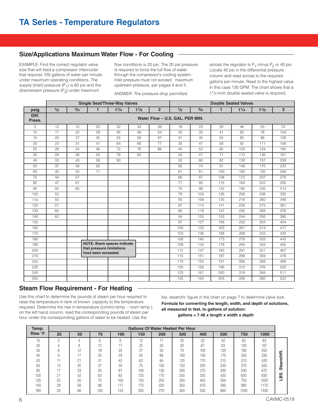### Size/Applications Maximum Water Flow - For Cooling

EXAMPLE: Find the correct regulator valve size that will feed a compressor intercooler that requires 100 gallons of water per minute under maximum operating conditions. The supply (inlet) pressure  $(P_1)$  is 60 psi and the downstream pressure  $(P_2)$  under maximum

flow conditions is 20 psi. The 20 psi pressure is required to force the full flow of water through the compressor's cooling system. Inlet pressure must not exceed maximum upstream pressure, per pages 4 and 5.

ANSWER: The pressure drop permitted

across the regulator is  $P_1$  minus  $P_2$  or 40 psi. Locate 40 psi in the differential pressure column and read across to the required gallons per minute. Read to the highest value in this case 130 GPM. The chart shows that a 1<sup>1</sup>/4-inch double seated valve is required.

|                 |     |     |                                                  | <b>Single Seat/Three-Way Valves</b> |           |                |                                 |     | <b>Double Seated Valves</b> |           |           |                |
|-----------------|-----|-----|--------------------------------------------------|-------------------------------------|-----------|----------------|---------------------------------|-----|-----------------------------|-----------|-----------|----------------|
| psig            | 1/2 | 3/4 | $\mathbf{1}$                                     | $1^{1}/4$                           | $1^{1/2}$ | $\overline{2}$ | 1/2                             | 3/4 | $\mathbf{1}$                | $1^{1}/4$ | $1^{1/2}$ | $\overline{2}$ |
| Diff.<br>Press. |     |     |                                                  |                                     |           |                | Water Flow - U.S. GAL, PER MIN. |     |                             |           |           |                |
| 5               | 12  | 15  | 20                                               | 32                                  | 34        | 38             | 18                              | 23  | 29                          | 46        | 55        | 74             |
| 10              | 17  | 22  | 29                                               | 45                                  | 48        | 54             | 25                              | 33  | 41                          | 65        | 78        | 104            |
| 15              | 20  | 27  | 35                                               | 55                                  | 59        | 67             | 31                              | 40  | 50                          | 80        | 96        | 128            |
| 20              | 23  | 31  | 41                                               | 64                                  | 68        | 77             | 35                              | 47  | 58                          | 92        | 111       | 148            |
| 25              | 26  | 34  | 46                                               | $\overline{72}$                     | 76        | 86             | 40                              | 52  | 65                          | 103       | 124       | 165            |
| 30              | 29  | 38  | 50                                               | 78                                  | 83        |                | 43                              | 57  | 71                          | 113       | 136       | 181            |
| 40              | 33  | 43  | 58                                               | 90                                  |           |                | 50                              | 66  | 82                          | 130       | 157       | 209            |
| 50              | 37  | 48  | 65                                               |                                     |           |                | 56                              | 74  | 91                          | 146       | 175       | 233            |
| 60              | 40  | 53  | 71                                               |                                     |           |                | 61                              | 81  | 100                         | 160       | 192       | 256            |
| 70              | 44  | 57  |                                                  |                                     |           |                | 66                              | 87  | 108                         | 172       | 207       | 276            |
| 80              | 47  | 61  |                                                  |                                     |           |                | 71                              | 93  | 115                         | 184       | 222       | 295            |
| 90              | 50  | 65  |                                                  |                                     |           |                | 75                              | 99  | 122                         | 195       | 235       | 313            |
| 100             | 52  |     |                                                  |                                     |           |                | 79                              | 104 | 129                         | 206       | 248       | 330            |
| 110             | 55  |     |                                                  |                                     |           |                | 83                              | 109 | 135                         | 216       | 260       | 346            |
| 120             | 57  |     |                                                  |                                     |           |                | 87                              | 114 | 141                         | 226       | 272       | 361            |
| 130             | 60  |     |                                                  |                                     |           |                | 90                              | 119 | 147                         | 235       | 283       | 376            |
| 140             | 62  |     |                                                  |                                     |           |                | 94                              | 123 | 153                         | 244       | 293       | 390            |
| 150             |     |     |                                                  |                                     |           |                | 97                              | 127 | 158                         | 252       | 304       | 404            |
| 160             |     |     |                                                  |                                     |           |                | 100                             | 132 | 163                         | 261       | 314       | 417            |
| 170             |     |     |                                                  |                                     |           |                | 103                             | 136 | 168                         | 269       | 323       | 430            |
| 180             |     |     |                                                  |                                     |           |                | 106                             | 140 | 173                         | 276       | 333       | 443            |
| 190             |     |     |                                                  | <b>NOTE: Blank spaces indicate</b>  |           |                | 109                             | 143 | 178                         | 284       | 342       | 455            |
| 200             |     |     | that pressure limitations<br>have been exceeded. |                                     |           |                | 112                             | 147 | 182                         | 291       | 351       | 467            |
| 210             |     |     |                                                  |                                     |           |                | 115                             | 151 | 187                         | 299       | 359       | 478            |
| 220             |     |     |                                                  |                                     |           |                | 118                             | 154 | 191                         | 306       | 368       | 489            |
| 230             |     |     |                                                  |                                     |           |                | 120                             | 158 | 196                         | 312       | 376       | 500            |
| 240             |     |     |                                                  |                                     |           |                | 123                             | 161 | 200                         | 319       | 384       | 511            |
| 250             |     |     |                                                  |                                     |           |                | 125                             | 164 | 204                         | 326       | 392       | 522            |

### **Steam Flow Requirement - For Heating \_\_\_\_\_\_\_\_\_\_\_\_\_\_\_\_\_\_\_\_\_\_\_\_\_\_\_\_\_\_\_\_\_\_\_\_\_\_\_\_\_\_\_\_\_\_**

Use this chart to determine the pounds of steam per hour required to raise the temperature in tank of known capacity to the temperature required. Determine the rise in temperature (control temp. - room temp.) on the left hand column, read the corresponding pounds of steam per hour under the corresponding gallons of water to be heated. Use the

lbs. steam/hr. figure in the chart on page 7 to determine valve size.

**Formula for converting the length, width, and depth of solutions, all measured in feet, to gallons of solution: gallons = 7.48 x length x width x depth**

| Temp.   |           |            |     |      |     | <b>Gallons Of Water Heated Per Hour</b> |     |     |     |      |      |        |
|---------|-----------|------------|-----|------|-----|-----------------------------------------|-----|-----|-----|------|------|--------|
| Rise °F | 25        | 50         | 75  | 100  | 150 | 200                                     | 300 | 400 | 500 | 750  | 1000 |        |
| 10      | ∩         |            | 6   |      | 12  | 47                                      | 25  | 33  | 42  | 63   | 83   |        |
| 20      |           |            | 12  | $-1$ | 25  | 33                                      | 50  | 67  | 83  | 120  | 167  |        |
| 30      | $\sim$    | 12         | 19  | 25   | 37  | 50                                      | 70  | 100 | 120 | 190  | 250  | œ      |
| 40      |           |            | 25  | 33   | 50  | 66                                      | 100 | 130 | 170 | 250  | 330  |        |
| 50      |           | $^{\circ}$ | 31  | 42   | 63  | 84                                      | 125 | 170 | 210 | 310  | 420  | ℼ      |
| 60      | 1 Q<br>ьa | 25         | 37  | 50   | 75  | 100                                     | 150 | 200 | 250 | 370  | 500  | ω      |
| 80      |           | 33         | 50  | 67   | 100 | 130                                     | 200 | 270 | 330 | 500  | 670  | Ò      |
| 100     | 21        | 42         | 63  | 83   | 120 | 170                                     | 250 | 330 | 420 | 630  | 830  | ഗ<br>≃ |
| 120     | 25        | 50         | 75  | 100  | 150 | 200                                     | 300 | 400 | 500 | 750  | 1000 |        |
| 140     | 29        | 58         | 88  | 117  | 175 | 23C                                     | 350 | 470 | 580 | 880  | 1170 |        |
| 160     | 33        | 66         | 100 | 133  | 200 | 270                                     | 400 | 530 | 660 | 1000 | 1330 |        |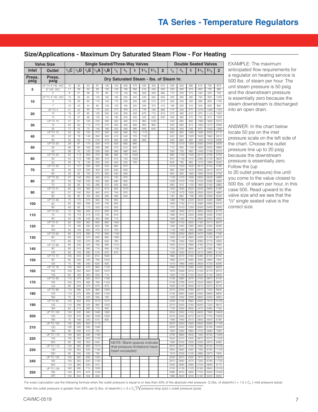| Size/Applications - Maximum Dry Saturated Steam Flow - For Heating |  |
|--------------------------------------------------------------------|--|
|                                                                    |  |

|                | <b>Valve Size</b>                  |                      |            |                  |              |              | <b>Single Seated/Three-Way Valves</b>   |             |              |             |            |                |              |              |              |               | <b>Double Seated Valves</b> |                |
|----------------|------------------------------------|----------------------|------------|------------------|--------------|--------------|-----------------------------------------|-------------|--------------|-------------|------------|----------------|--------------|--------------|--------------|---------------|-----------------------------|----------------|
| Inlet          | Outlet                             | $1/2$ C              | $1/2$ D    | 1/2E             | $1/2$ A      | 1/3B         | 1/2                                     | 3/4         | 1            | 11/4        | 11/2       | $\overline{2}$ | 1/2          | 3/4          | 1            | $11_{\ell_4}$ | $11_{12}$                   | $\mathbf{2}$   |
| Press.<br>psig | Press.<br>psig                     |                      |            |                  |              |              | Dry Saturated Steam - Ibs. of Steam hr. |             |              |             |            |                |              |              |              |               |                             |                |
|                | UP TO 9" HG. VAC                   | 12                   | 30         | 53               | 97           | 130          | 155                                     | 200         | 270          | 420         | 450        | 510            | 235          | 305          | 380          | 610           | 735                         | 975            |
| 5              | 6" HG. VAC                         | 11                   | 29         | 52               | 95           | 125          | 150                                     | 195         | 265          | 415         | 440        | 500            | 230          | 300          | 375          | 600           | 720                         | 960            |
|                | $\overline{2}$<br>UP TO 3" HG. VAC | $\overline{8}$<br>15 | 21<br>35   | 38<br>65         | 70<br>120    | 90<br>160    | 110<br>195                              | 145<br>255  | 195<br>340   | 305<br>530  | 320<br>565 | 365<br>635     | 170<br>295   | 220<br>385   | 275<br>480   | 440<br>765    | 525<br>920                  | 700<br>1220    |
| 10             | 3                                  | 13                   | 33         | 60               | 110          | 145          | 175                                     | 230         | 305          | 480         | 510        | 575            | 265          | 345          | 430          | 690           | 830                         | 1100           |
|                | $\overline{7}$                     | 10                   | 24         | 44               | 80           | 105          | 125                                     | 165         | 220          | 345         | 370        | 415            | 190          | 250          | 310          | 500           | 600                         | 800            |
|                | UP TO 4                            | 21                   | 52         | 95               | 170          | 225          | 270                                     | 355         | 475          | 745         | 790        | 895            | 415          | 540          | 670          | 1070          | 1290                        | 1720           |
| 20             | 10<br>15                           | 19<br>15             | 47<br>37   | 85<br>66         | 155<br>120   | 200<br>155   | 245<br>190                              | 325<br>250  | 430<br>335   | 675<br>525  | 715<br>555 | 810<br>630     | 375<br>290   | 490<br>380   | 610<br>470   | 970<br>755    | 1170<br>910                 | 1550<br>1200   |
|                | UP TO 10                           | 27                   | 67         | 120              | 220          | 290          | 350                                     | 460         | 615          | 960         | 1020       |                | 530          | 695          | 865          | 1380          | 1660                        | 2210           |
| 30             | 15                                 | $\overline{25}$      | 63         | 115              | 210          | 270          | 330                                     | 435         | 580          | 905         | 960        |                | 500          | 660          | 815          | 1300          | 1570                        | 2090           |
|                | 25<br>UP TO 15                     | 17<br>33             | 42<br>82   | 75<br>150        | 140<br>270   | 180<br>350   | 220<br>430                              | 290<br>560  | 385<br>750   | 605<br>1170 | 640        |                | 335<br>650   | 440<br>855   | 545<br>1060  | 870<br>1690   | 1050<br>2030                | 1390<br>2710   |
| 40             | 20                                 | 32                   | 79         | 140              | 260          | 340          | 415                                     | 540         | 725          | 1130        |            |                | 625          | 820          | 1020         | 1630          | 1960                        | 2610           |
|                | 30                                 | 25                   | 63         | 115              | 210          | 270          | 330                                     | 435         | 580          | 905         |            |                | 505          | 660          | 820          | 1300          | 1570                        | 2090           |
| 50             | UP TO 20<br>30                     | 39<br>36             | 97<br>90   | 175<br>160       | 320<br>295   | 415<br>385   | 505<br>470                              | 665<br>615  | 890<br>820   |             |            |                | 770<br>710   | 1010<br>935  | 1250<br>1150 | 2000<br>1850  | 2400<br>2220                | 3200<br>2960   |
|                | 40                                 | 28                   | 70         | 125              | 230          | 300          | 365                                     | 480         | 640          |             |            |                | 555          | 730          | 905          | 1440          | 1740                        | 2310           |
| 60             | <b>UP TO 25</b><br>30              | 45<br>44             | 112<br>110 | 200<br>198       | 370<br>360   | 480<br>470   | 585<br>575                              | 770<br>755  | 1020<br>1000 |             |            |                | 890<br>870   | 1160<br>1140 | 1440<br>1410 | 2310<br>2260  | 2780<br>2720                | 3700<br>3620   |
|                | 50                                 | 30                   | 75         | 135              | 250          | 325          | 400                                     | 525         | 700          |             |            |                | 605          | 795          | 985          | 1570          | 1890                        | 2520           |
|                | UP TO 30                           | 51                   | 127        | 230              | 420          | 545          | 665                                     | 870         |              |             |            |                | 1010         | 1320         | 1640         | 2610          | 3150                        | 4190           |
| 70             | 40<br>60                           | 49<br>33             | 122<br>82  | 220<br>150       | 400<br>270   | 520<br>350   | 635<br>430                              | 830<br>560  |              |             |            |                | 965<br>650   | 1260<br>855  | 1570<br>1060 | 2500<br>1690  | 3010<br>2030                | 4010<br>2700   |
|                | UP TO 35                           | 57                   | 140        | 255              | 465          | 610          | 740                                     | 975         |              |             |            |                | 1120         | 1470         | 1830         | 2920          | 3520                        | 4690           |
| 80             | 50                                 | 53                   | 130        | 240              | 435          | 565          | 690                                     | 905         |              |             |            |                | 1050         | 1370         | 1705         | 2720          | 3280                        | 4360           |
|                | 70<br>UP TO 41                     | 35<br>65             | 85<br>155  | 155<br>285       | 285<br>515   | 375<br>675   | 455<br>820                              | 600<br>1070 |              |             |            |                | 690<br>1240  | 910<br>1630  | 1120<br>2020 | 1800<br>3230  | 2160<br>3890                | 2880<br>5180   |
| 90             | 60                                 | 57                   | 140        | 255              | 465          | 610          | 740                                     | 975         |              |             |            |                | 1120         | 1470         | 1830         | 2920          | 3520                        | 4680           |
|                | 80                                 | 35                   | 90         | 165              | 305          | 395          | 480                                     | 630         |              |             |            |                | 730          | 960          | 1190         | 1900          | 2290                        | 3040           |
| 100            | UP TO 46<br>60                     | 70<br>65             | 170<br>165 | 310<br>295       | 565<br>540   | 740<br>705   | 900<br>855                              |             |              |             |            |                | 1360<br>1300 | 1790<br>1700 | 2220<br>2110 | 3540<br>3380  | 4260<br>4060                | 5680<br>5410   |
|                | 90                                 | 40                   | 95         | 175              | 320          | 415          | 505                                     |             |              |             |            |                | 770          | 1010         | 1250         | 2000          | 2400                        | 3200           |
|                | <b>UP TO 52</b>                    | 75                   | 185        | 335              | 615          | 800          | 975                                     |             |              |             |            |                | 1480         | 1940         | 2410         | 3850          | 4640                        | 6170           |
| 110            | 70<br>90                           | 70<br>55             | 175<br>135 | 315<br>245       | 575<br>450   | 750<br>590   | 910<br>715                              |             |              |             |            |                | 1380<br>1090 | 1810<br>1430 | 2250<br>1770 | 3590<br>2830  | 4330<br>3400                | 5760<br>4530   |
|                | UP TO 57                           | 80                   | 200        | 365              | 665          | 865          | 1050                                    |             |              |             |            |                | 1600         | 2100         | 2600         | 4160          | 5010                        | 6670           |
| 120            | 80<br>100                          | 75<br>55             | 185<br>145 | 330<br>260       | 605<br>475   | 790<br>615   | 965<br>750                              |             |              |             |            |                | 1460<br>1140 | 1920<br>1490 | 2380<br>1850 | 3800<br>2960  | 4580<br>3560                | 6090<br>4740   |
|                | <b>UP TO 62</b>                    | 85                   | 215        | 390              | 715          | 930          | 1130                                    |             |              |             |            |                | 1720         | 2250         | 2800         | 4470          | 5380                        | 7160           |
| 130            | 80                                 | 80                   | 205        | 370              | 680          | 885          | 1080                                    |             |              |             |            |                | 1630         | 2140         | 2660         | 4250          | 5120                        | 6810           |
|                | 110<br>UP TO 68                    | 60<br>95             | 150<br>230 | 270<br>420       | 495<br>765   | 645<br>995   | 780<br>1215                             |             |              |             |            |                | 1190<br>1840 | 1560<br>2410 | 1930<br>2990 | 3080<br>4780  | 3710<br>5750                | 4940<br>7660   |
| 140            | 90                                 | 85                   | 215        | 390              | 715          | 930          | 1130                                    |             |              |             |            |                | 1720         | 2250         | 2800         | 4470          | 5380                        | 7160           |
|                | 120                                | 60                   | 155        | 280              | 510          | 670          | 815                                     |             |              |             |            |                | 1230         | 1620         | 2010         | 3210          | 3860                        | 5140           |
| 150            | <b>UP TO 72</b><br>90              | 100<br>95            | 245<br>240 | 445<br>430       | 815<br>780   | 1060<br>1020 |                                         |             |              |             |            |                | 1960<br>1880 | 2570<br>2470 | 3180<br>3060 | 5090<br>4900  | 6120<br>5890                | 8150<br>7840   |
|                | 120                                | 75                   | 190        | 345              | 625          | 820          |                                         |             |              |             |            |                | 1510         | 1980         | 2460         | 3930          | 4730                        | 6290           |
|                | <b>UP TO 78</b><br>100             | 105<br>100           | 260<br>250 | 470<br>450       | 860<br>820   | 1120<br>1070 |                                         |             |              |             |            |                | 2080<br>1970 | 2720<br>2590 | 3380<br>3210 | 5400<br>5120  | 6500<br>6170                | 8650<br>8210   |
| 160            | 140                                | 65                   | 165        | 300              | 550          | 715          |                                         |             |              |             |            |                | 1320         | 1730         | 2150         | 3440          | 4140                        | 5500           |
|                | UP TO 83                           | 110                  | 275        | 500              | 810          | 1190         |                                         |             |              |             |            |                | 2190         | 2880         | 3570         | 5700          | 6870                        | 9140           |
| 170            | 100<br>140                         | 105<br>80            | 270<br>205 | 485<br>370       | 785<br>670   | 1150<br>875  |                                         |             |              |             |            |                | 2130<br>1620 | 2790<br>2120 | 3470<br>2630 | 5540<br>4210  | 6660<br>5070                | 8870<br>6740   |
|                | <b>UP TO 89</b>                    | 115                  | 290        | 525              | 960          | 1250         |                                         |             |              |             |            |                | 2310         | 3030         | 3760         | 6010          | 7240                        | 9640           |
| 180            | 120                                | 110                  | 270        | 485              | 890          | 1150         |                                         |             |              |             |            |                | 2140         | 2800         | 3480         | 5550          | 6690                        | 8900           |
|                | 160<br><b>UP TO 95</b>             | 70<br>125            | 175<br>305 | 320<br>555       | 585<br>1010  | 760<br>1310  |                                         |             |              |             |            |                | 1400<br>2430 | 1840<br>3190 | 2290<br>3960 | 3650<br>6320  | 4400<br>7610                | 5850<br>10100  |
| 190            | 120                                | 115                  | 290        | 525              | 960          | 1250         |                                         |             |              |             |            |                | 2310         | 3030         | 3760         | 6000          | 7220                        | 9610           |
|                | 160                                | 85                   | 215        | 390              | 715          | 930          |                                         |             |              |             |            |                | 1720         | 2260         | 2800         | 4470          | 5380                        | 7160           |
| 200            | <b>UP TO 100</b><br>120            | 130<br>125           | 320<br>310 | 580<br>560       | 1060<br>1020 | 1380<br>1330 |                                         |             |              |             |            |                | 2550<br>2470 | 3350<br>3240 | 4150<br>4010 | 6630<br>6410  | 7980<br>7720                | 10600<br>10300 |
|                | 180                                | 75                   | 185        | 335              | 615          | 805          |                                         |             |              |             |            |                | 1480         | 1940         | 2410         | 3850          | 4640                        | 6180           |
|                | <b>UP TO 105</b><br>120            | 135<br>130           | 335<br>330 | 605<br>595       | 1110<br>1080 |              |                                         |             |              |             |            |                | 2670<br>2620 | 3500<br>3430 | 4350<br>4260 | 6940<br>6800  | 8360<br>8190                | 11100<br>10900 |
| 210            | 180                                | 90                   | 230        | $\overline{415}$ | 755          |              |                                         |             |              |             |            |                | 1820         | 2380         | 2960         | 4720          | 5680                        | 7560           |
|                | <b>UP TO 110</b>                   | 140                  | 350        | 635              | 1160         |              |                                         |             |              |             |            |                | 2790         | 3660         | 4540         | 7250          | 8730                        | 11600          |
| 220            | 140<br>200                         | 135<br>80            | 335<br>195 | 600<br>355       | 1100<br>645  |              | NOTE: Blank spaces indicate             |             |              |             |            |                | 2640<br>1560 | 3470<br>2040 | 4300<br>2530 | 6870<br>4050  | 8270<br>4870                | 11000<br>6480  |
|                | <b>UP TO 115</b>                   | 145                  | 365        | 660              | 1210         |              | that pressure limitations have          |             |              |             |            |                | 2910         | 3810         | 4730         | 7560          | 9100                        | 12100          |
| 230            | 140                                | 140                  | 355        | 635              | 1160         |              | been exceeded.                          |             |              |             |            |                | 2800         | 3680         | 4560         | 7290          | 8780                        | 11700          |
|                | 200<br><b>UP TO 120</b>            | 95<br>155            | 240<br>380 | 435<br>690       | 790<br>1250  |              |                                         |             |              |             |            |                | 1910<br>3030 | 2500<br>3970 | 3100<br>4930 | 4960<br>7870  | 5970<br>9470                | 7940<br>12600  |
| 240            | 160                                | 140                  | 355        | 640              | 1160         |              |                                         |             |              |             |            |                | 2810         | 3690         | 4570         | 7300          | 8790                        | 11700          |
|                | 200                                | 110                  | 280        | 500              | 915          |              |                                         |             |              |             |            |                | 2200         | 2890         | 3580         | 5720          | 6890                        | 9170           |
| 250            | <b>UP TO 126</b><br>160            | 160<br>150           | 395<br>375 | 715<br>675       | 1300<br>1240 |              |                                         |             |              |             |            |                | 3150<br>2980 | 4130<br>3910 | 5120<br>4850 | 8180<br>7750  | 9840<br>9330                | 13100<br>12400 |
|                | 220                                | 100                  | 250        | 455              | 830          |              |                                         |             |              |             |            |                | 1990         | 2620         | 3240         | 5180          | 6240                        | 8300           |

EXAMPLE: The maximum anticipated flow requirements for a regulator on heating service is 500 lbs. of steam per hour. The unit steam pressure is 50 psig and the downstream pressure is essentially zero because the steam downstream is discharged into an open drain.

ANSWER: In the chart below locate 50 psi on the inlet pressure scale on the left side of the chart. Choose the outlet pressure line up to 20 psig because the downstream pressure is essentially zero. Follow the (up to 20 outlet pressure) line until you come to the value closest to 500 lbs. of steam per hour, in this case 505. Read upward to the valve size and we see that the 1/<sub>2</sub>" single seated valve is the correct size.

For exact calculation use the following formula when the outlet pressure is equal to or less than 53% of the absolute inlet pressure. Q (lbs. of steam/hr.) = 1.5 x C<sub>v</sub> x inlet pressure (psia)

When the outlet pressure is greater than 53% use Q (lbs. of steam/hr.) = 3 x C<sub>y</sub> x  $\sqrt{\text{pressure drop}}$  (psi) x outlet pressure (psia)